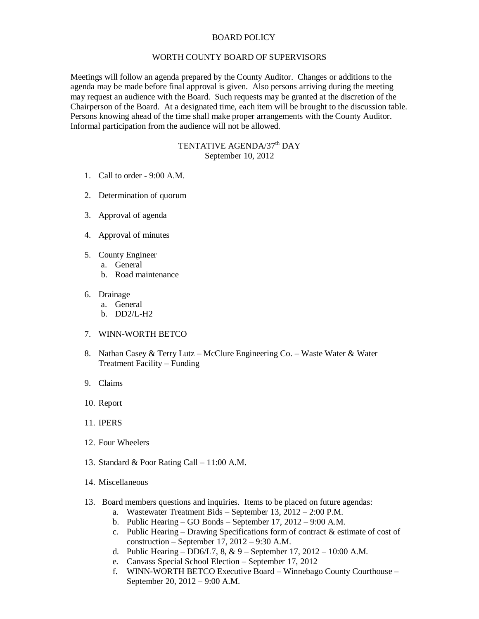## BOARD POLICY

## WORTH COUNTY BOARD OF SUPERVISORS

Meetings will follow an agenda prepared by the County Auditor. Changes or additions to the agenda may be made before final approval is given. Also persons arriving during the meeting may request an audience with the Board. Such requests may be granted at the discretion of the Chairperson of the Board. At a designated time, each item will be brought to the discussion table. Persons knowing ahead of the time shall make proper arrangements with the County Auditor. Informal participation from the audience will not be allowed.

## TENTATIVE AGENDA/37<sup>th</sup> DAY September 10, 2012

- 1. Call to order 9:00 A.M.
- 2. Determination of quorum
- 3. Approval of agenda
- 4. Approval of minutes
- 5. County Engineer
	- a. General
	- b. Road maintenance
- 6. Drainage
	- a. General
	- b. DD2/L-H2
- 7. WINN-WORTH BETCO
- 8. Nathan Casey & Terry Lutz McClure Engineering Co. Waste Water & Water Treatment Facility – Funding
- 9. Claims
- 10. Report
- 11. IPERS
- 12. Four Wheelers
- 13. Standard & Poor Rating Call 11:00 A.M.
- 14. Miscellaneous
- 13. Board members questions and inquiries. Items to be placed on future agendas:
	- a. Wastewater Treatment Bids September 13, 2012 2:00 P.M.
	- b. Public Hearing GO Bonds September 17, 2012 9:00 A.M.
	- c. Public Hearing Drawing Specifications form of contract & estimate of cost of construction – September 17, 2012 – 9:30 A.M.
	- d. Public Hearing DD6/L7, 8, & 9 September 17, 2012 10:00 A.M.
	- e. Canvass Special School Election September 17, 2012
	- f. WINN-WORTH BETCO Executive Board Winnebago County Courthouse September 20, 2012 – 9:00 A.M.